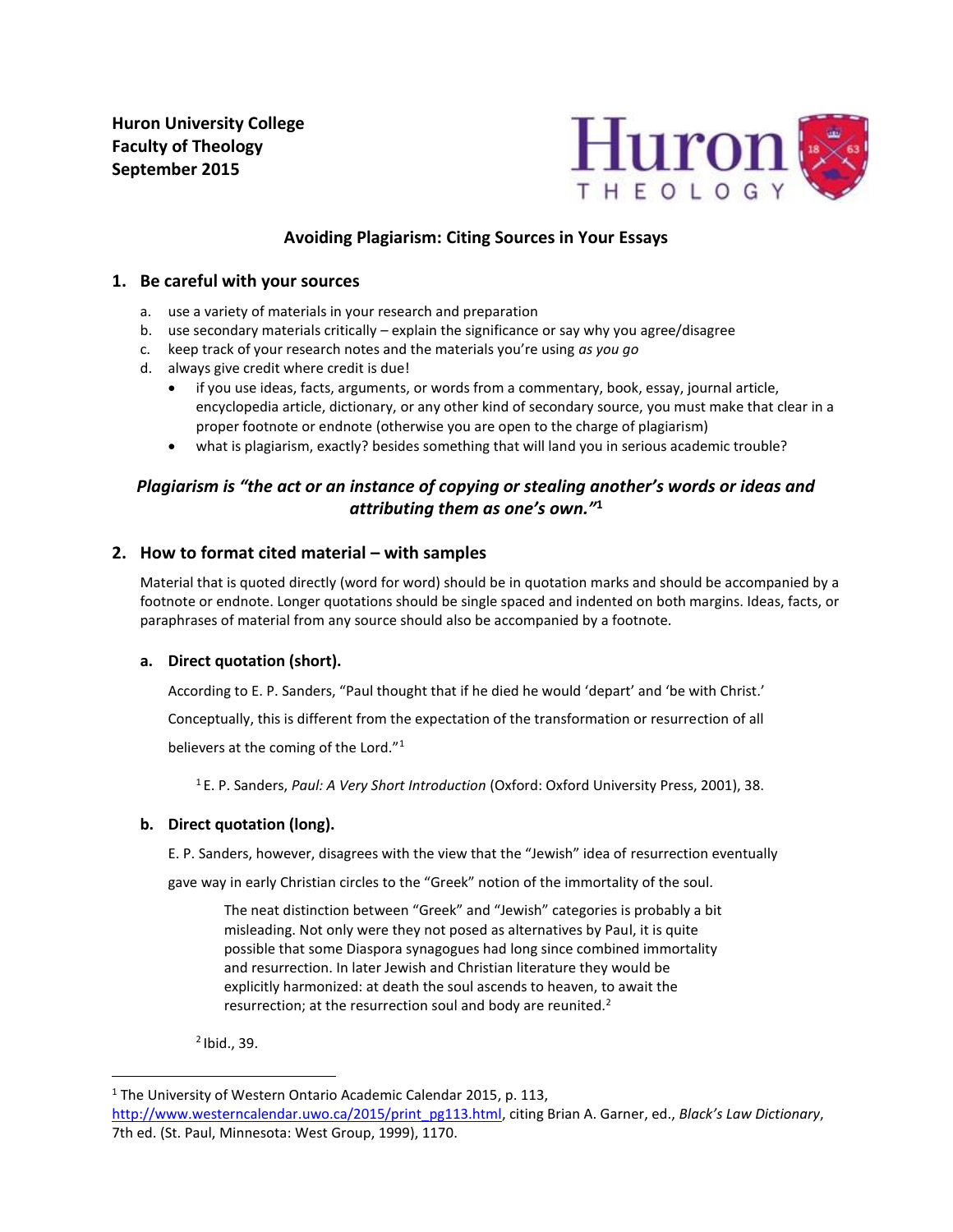**Huron University College Faculty of Theology September 2015**



# **Avoiding Plagiarism: Citing Sources in Your Essays**

## **1. Be careful with your sources**

- a. use a variety of materials in your research and preparation
- b. use secondary materials critically explain the significance or say why you agree/disagree
- c. keep track of your research notes and the materials you're using *as you go*
- d. always give credit where credit is due!
	- if you use ideas, facts, arguments, or words from a commentary, book, essay, journal article, encyclopedia article, dictionary, or any other kind of secondary source, you must make that clear in a proper footnote or endnote (otherwise you are open to the charge of plagiarism)
	- what is plagiarism, exactly? besides something that will land you in serious academic trouble?

# *Plagiarism is "the act or an instance of copying or stealing another's words or ideas and attributing them as one's own."***<sup>1</sup>**

## **2. How to format cited material – with samples**

Material that is quoted directly (word for word) should be in quotation marks and should be accompanied by a footnote or endnote. Longer quotations should be single spaced and indented on both margins. Ideas, facts, or paraphrases of material from any source should also be accompanied by a footnote.

## **a. Direct quotation (short).**

According to E. P. Sanders, "Paul thought that if he died he would 'depart' and 'be with Christ.'

Conceptually, this is different from the expectation of the transformation or resurrection of all

believers at the coming of the Lord."<sup>1</sup>

<sup>1</sup>E. P. Sanders, *Paul: A Very Short Introduction* (Oxford: Oxford University Press, 2001), 38.

## **b. Direct quotation (long).**

E. P. Sanders, however, disagrees with the view that the "Jewish" idea of resurrection eventually

gave way in early Christian circles to the "Greek" notion of the immortality of the soul.

The neat distinction between "Greek" and "Jewish" categories is probably a bit misleading. Not only were they not posed as alternatives by Paul, it is quite possible that some Diaspora synagogues had long since combined immortality and resurrection. In later Jewish and Christian literature they would be explicitly harmonized: at death the soul ascends to heaven, to await the resurrection; at the resurrection soul and body are reunited. $2^2$ 

<sup>2</sup>Ibid., 39.

 $\overline{a}$ 

<sup>&</sup>lt;sup>1</sup> The University of Western Ontario Academic Calendar 2015, p. 113,

[http://www.westerncalendar.uwo.ca/2015/print\\_pg113.html,](http://www.westerncalendar.uwo.ca/2015/print_pg113.html) citing Brian A. Garner, ed., *Black's Law Dictionary*, 7th ed. (St. Paul, Minnesota: West Group, 1999), 1170.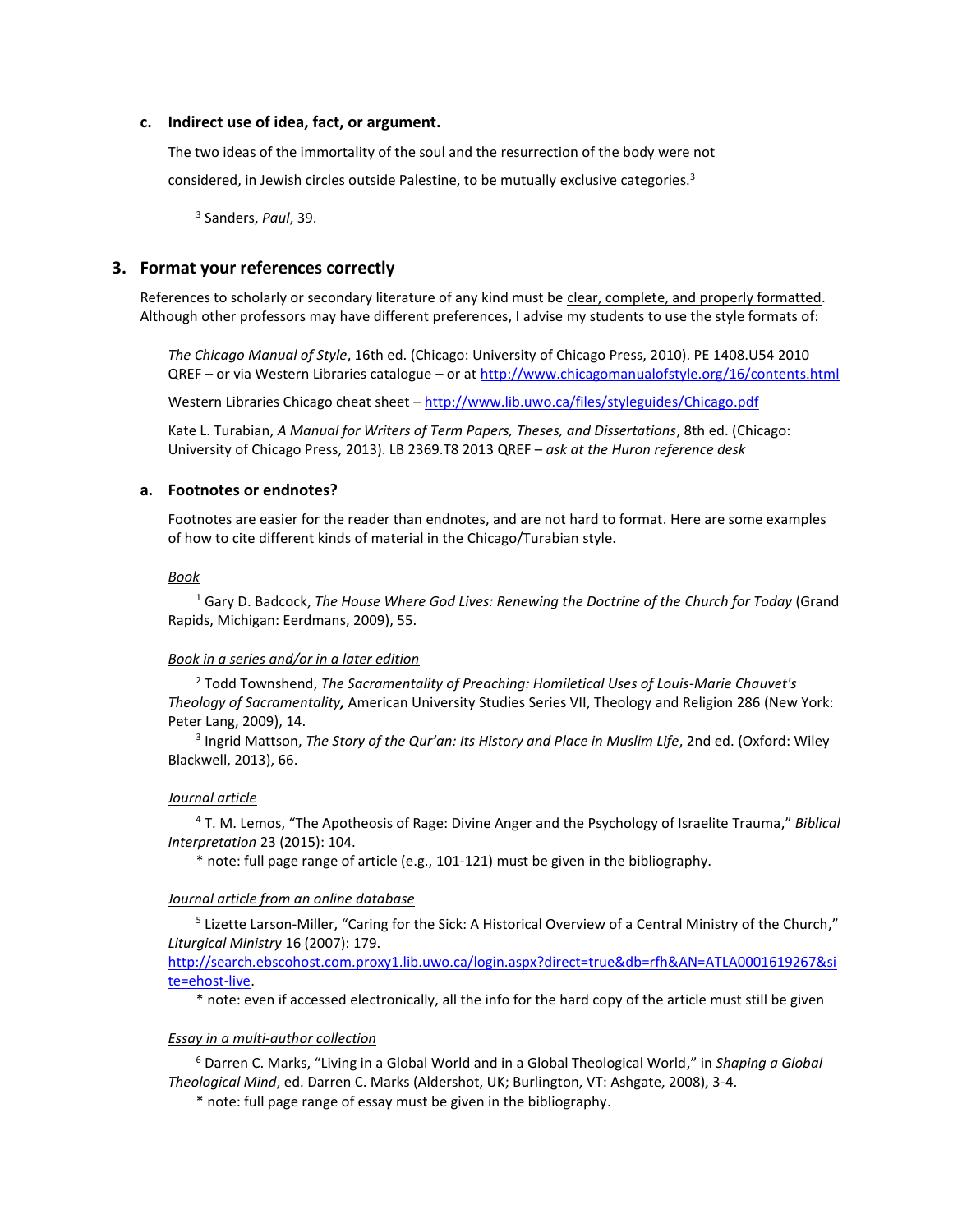#### **c. Indirect use of idea, fact, or argument.**

The two ideas of the immortality of the soul and the resurrection of the body were not considered, in Jewish circles outside Palestine, to be mutually exclusive categories.<sup>3</sup>

3 Sanders, *Paul*, 39.

### **3. Format your references correctly**

References to scholarly or secondary literature of any kind must be clear, complete, and properly formatted. Although other professors may have different preferences, I advise my students to use the style formats of:

*The Chicago Manual of Style*, 16th ed. (Chicago: University of Chicago Press, 2010). PE 1408.U54 2010 QREF – or via Western Libraries catalogue – or at <http://www.chicagomanualofstyle.org/16/contents.html>

Western Libraries Chicago cheat sheet - <http://www.lib.uwo.ca/files/styleguides/Chicago.pdf>

Kate L. Turabian, *A Manual for Writers of Term Papers, Theses, and Dissertations*, 8th ed. (Chicago: University of Chicago Press, 2013). LB 2369.T8 2013 QREF – *ask at the Huron reference desk* 

### **a. Footnotes or endnotes?**

Footnotes are easier for the reader than endnotes, and are not hard to format. Here are some examples of how to cite different kinds of material in the Chicago/Turabian style.

#### *Book*

<sup>1</sup> Gary D. Badcock, *The House Where God Lives: Renewing the Doctrine of the Church for Today* (Grand Rapids, Michigan: Eerdmans, 2009), 55.

#### *Book in a series and/or in a later edition*

<sup>2</sup> Todd Townshend, *The Sacramentality of Preaching: Homiletical Uses of Louis-Marie Chauvet's Theology of Sacramentality,* American University Studies Series VII, Theology and Religion 286 (New York: Peter Lang, 2009), 14.

3 Ingrid Mattson, *The Story of the Qur'an: Its History and Place in Muslim Life*, 2nd ed. (Oxford: Wiley Blackwell, 2013), 66.

#### *Journal article*

<sup>4</sup> T. M. Lemos, "The Apotheosis of Rage: Divine Anger and the Psychology of Israelite Trauma," *Biblical Interpretation* 23 (2015): 104.

\* note: full page range of article (e.g., 101-121) must be given in the bibliography.

#### *Journal article from an online database*

<sup>5</sup> Lizette Larson-Miller, "Caring for the Sick: A Historical Overview of a Central Ministry of the Church," *Liturgical Ministry* 16 (2007): 179.

[http://search.ebscohost.com.proxy1.lib.uwo.ca/login.aspx?direct=true&db=rfh&AN=ATLA0001619267&si](http://search.ebscohost.com.proxy1.lib.uwo.ca/login.aspx?direct=true&db=rfh&AN=ATLA0001619267&site=ehost-live) [te=ehost-live.](http://search.ebscohost.com.proxy1.lib.uwo.ca/login.aspx?direct=true&db=rfh&AN=ATLA0001619267&site=ehost-live)

\* note: even if accessed electronically, all the info for the hard copy of the article must still be given

#### *Essay in a multi-author collection*

<sup>6</sup> Darren C. Marks, "Living in a Global World and in a Global Theological World," in *Shaping a Global Theological Mind*, ed. Darren C. Marks (Aldershot, UK; Burlington, VT: Ashgate, 2008), 3-4.

\* note: full page range of essay must be given in the bibliography.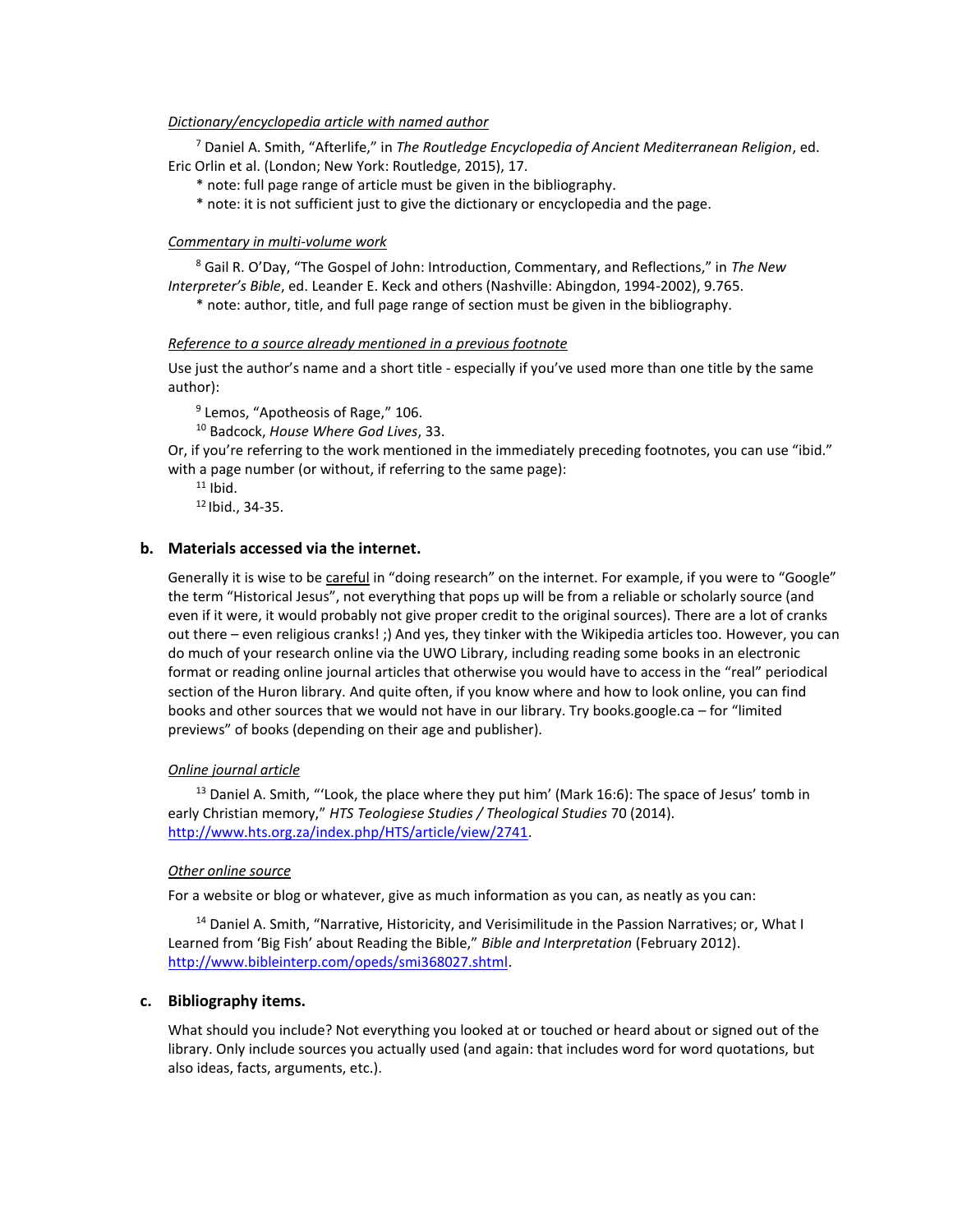### *Dictionary/encyclopedia article with named author*

<sup>7</sup> Daniel A. Smith, "Afterlife," in *The Routledge Encyclopedia of Ancient Mediterranean Religion*, ed. Eric Orlin et al. (London; New York: Routledge, 2015), 17.

\* note: full page range of article must be given in the bibliography.

\* note: it is not sufficient just to give the dictionary or encyclopedia and the page.

### *Commentary in multi-volume work*

<sup>8</sup> Gail R. O'Day, "The Gospel of John: Introduction, Commentary, and Reflections," in *The New Interpreter's Bible*, ed. Leander E. Keck and others (Nashville: Abingdon, 1994-2002), 9.765.

\* note: author, title, and full page range of section must be given in the bibliography.

### *Reference to a source already mentioned in a previous footnote*

Use just the author's name and a short title - especially if you've used more than one title by the same author):

<sup>9</sup> Lemos, "Apotheosis of Rage," 106.

<sup>10</sup> Badcock, *House Where God Lives*, 33.

Or, if you're referring to the work mentioned in the immediately preceding footnotes, you can use "ibid." with a page number (or without, if referring to the same page):

 $11$  Ibid.

 $12$  Ibid., 34-35.

## **b. Materials accessed via the internet.**

Generally it is wise to be careful in "doing research" on the internet. For example, if you were to "Google" the term "Historical Jesus", not everything that pops up will be from a reliable or scholarly source (and even if it were, it would probably not give proper credit to the original sources). There are a lot of cranks out there – even religious cranks! ;) And yes, they tinker with the Wikipedia articles too. However, you can do much of your research online via the UWO Library, including reading some books in an electronic format or reading online journal articles that otherwise you would have to access in the "real" periodical section of the Huron library. And quite often, if you know where and how to look online, you can find books and other sources that we would not have in our library. Try books.google.ca – for "limited previews" of books (depending on their age and publisher).

## *Online journal article*

<sup>13</sup> Daniel A. Smith, "'Look, the place where they put him' (Mark 16:6): The space of Jesus' tomb in early Christian memory," *HTS Teologiese Studies / Theological Studies* 70 (2014). [http://www.hts.org.za/index.php/HTS/article/view/2741.](http://www.hts.org.za/index.php/HTS/article/view/2741)

## *Other online source*

For a website or blog or whatever, give as much information as you can, as neatly as you can:

<sup>14</sup> Daniel A. Smith, "Narrative, Historicity, and Verisimilitude in the Passion Narratives; or, What I Learned from 'Big Fish' about Reading the Bible," *Bible and Interpretation* (February 2012). [http://www.bibleinterp.com/opeds/smi368027.shtml.](http://www.bibleinterp.com/opeds/smi368027.shtml)

## **c. Bibliography items.**

What should you include? Not everything you looked at or touched or heard about or signed out of the library. Only include sources you actually used (and again: that includes word for word quotations, but also ideas, facts, arguments, etc.).